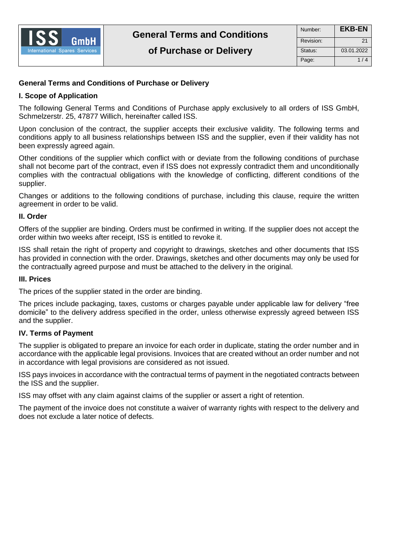

# **General Terms and Conditions of Purchase or Delivery**

# **I. Scope of Application**

The following General Terms and Conditions of Purchase apply exclusively to all orders of ISS GmbH, Schmelzerstr. 25, 47877 Willich, hereinafter called ISS.

Upon conclusion of the contract, the supplier accepts their exclusive validity. The following terms and conditions apply to all business relationships between ISS and the supplier, even if their validity has not been expressly agreed again.

Other conditions of the supplier which conflict with or deviate from the following conditions of purchase shall not become part of the contract, even if ISS does not expressly contradict them and unconditionally complies with the contractual obligations with the knowledge of conflicting, different conditions of the supplier.

Changes or additions to the following conditions of purchase, including this clause, require the written agreement in order to be valid.

### **II. Order**

Offers of the supplier are binding. Orders must be confirmed in writing. If the supplier does not accept the order within two weeks after receipt, ISS is entitled to revoke it.

ISS shall retain the right of property and copyright to drawings, sketches and other documents that ISS has provided in connection with the order. Drawings, sketches and other documents may only be used for the contractually agreed purpose and must be attached to the delivery in the original.

#### **III. Prices**

The prices of the supplier stated in the order are binding.

The prices include packaging, taxes, customs or charges payable under applicable law for delivery "free domicile" to the delivery address specified in the order, unless otherwise expressly agreed between ISS and the supplier.

#### **IV. Terms of Payment**

The supplier is obligated to prepare an invoice for each order in duplicate, stating the order number and in accordance with the applicable legal provisions. Invoices that are created without an order number and not in accordance with legal provisions are considered as not issued.

ISS pays invoices in accordance with the contractual terms of payment in the negotiated contracts between the ISS and the supplier.

ISS may offset with any claim against claims of the supplier or assert a right of retention.

The payment of the invoice does not constitute a waiver of warranty rights with respect to the delivery and does not exclude a later notice of defects.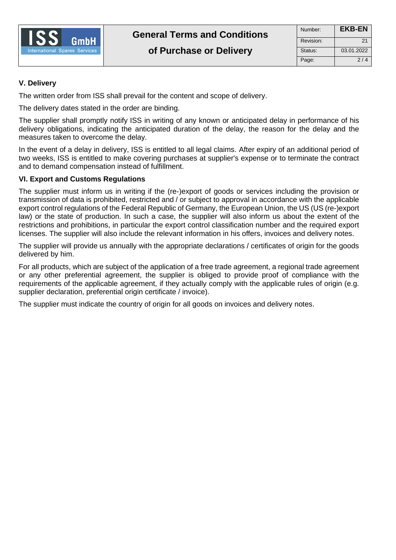

# **V. Delivery**

The written order from ISS shall prevail for the content and scope of delivery.

The delivery dates stated in the order are binding.

The supplier shall promptly notify ISS in writing of any known or anticipated delay in performance of his delivery obligations, indicating the anticipated duration of the delay, the reason for the delay and the measures taken to overcome the delay.

In the event of a delay in delivery, ISS is entitled to all legal claims. After expiry of an additional period of two weeks, ISS is entitled to make covering purchases at supplier's expense or to terminate the contract and to demand compensation instead of fulfillment.

# **VI. Export and Customs Regulations**

The supplier must inform us in writing if the (re-)export of goods or services including the provision or transmission of data is prohibited, restricted and / or subject to approval in accordance with the applicable export control regulations of the Federal Republic of Germany, the European Union, the US (US (re-)export law) or the state of production. In such a case, the supplier will also inform us about the extent of the restrictions and prohibitions, in particular the export control classification number and the required export licenses. The supplier will also include the relevant information in his offers, invoices and delivery notes.

The supplier will provide us annually with the appropriate declarations / certificates of origin for the goods delivered by him.

For all products, which are subject of the application of a free trade agreement, a regional trade agreement or any other preferential agreement, the supplier is obliged to provide proof of compliance with the requirements of the applicable agreement, if they actually comply with the applicable rules of origin (e.g. supplier declaration, preferential origin certificate / invoice).

The supplier must indicate the country of origin for all goods on invoices and delivery notes.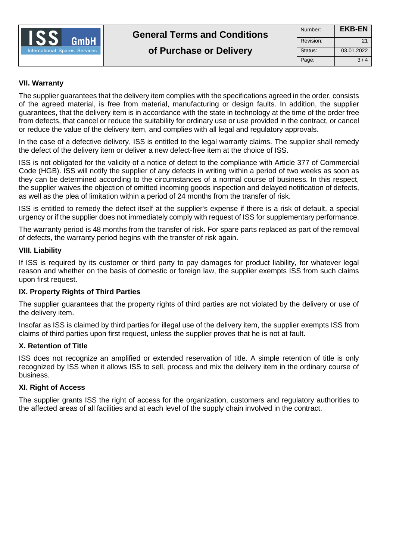

# **VII. Warranty**

The supplier guarantees that the delivery item complies with the specifications agreed in the order, consists of the agreed material, is free from material, manufacturing or design faults. In addition, the supplier guarantees, that the delivery item is in accordance with the state in technology at the time of the order free from defects, that cancel or reduce the suitability for ordinary use or use provided in the contract, or cancel or reduce the value of the delivery item, and complies with all legal and regulatory approvals.

In the case of a defective delivery, ISS is entitled to the legal warranty claims. The supplier shall remedy the defect of the delivery item or deliver a new defect-free item at the choice of ISS.

ISS is not obligated for the validity of a notice of defect to the compliance with Article 377 of Commercial Code (HGB). ISS will notify the supplier of any defects in writing within a period of two weeks as soon as they can be determined according to the circumstances of a normal course of business. In this respect, the supplier waives the objection of omitted incoming goods inspection and delayed notification of defects, as well as the plea of limitation within a period of 24 months from the transfer of risk.

ISS is entitled to remedy the defect itself at the supplier's expense if there is a risk of default, a special urgency or if the supplier does not immediately comply with request of ISS for supplementary performance.

The warranty period is 48 months from the transfer of risk. For spare parts replaced as part of the removal of defects, the warranty period begins with the transfer of risk again.

### **VIII. Liability**

If ISS is required by its customer or third party to pay damages for product liability, for whatever legal reason and whether on the basis of domestic or foreign law, the supplier exempts ISS from such claims upon first request.

#### **IX. Property Rights of Third Parties**

The supplier guarantees that the property rights of third parties are not violated by the delivery or use of the delivery item.

Insofar as ISS is claimed by third parties for illegal use of the delivery item, the supplier exempts ISS from claims of third parties upon first request, unless the supplier proves that he is not at fault.

#### **X. Retention of Title**

ISS does not recognize an amplified or extended reservation of title. A simple retention of title is only recognized by ISS when it allows ISS to sell, process and mix the delivery item in the ordinary course of business.

### **XI. Right of Access**

The supplier grants ISS the right of access for the organization, customers and regulatory authorities to the affected areas of all facilities and at each level of the supply chain involved in the contract.